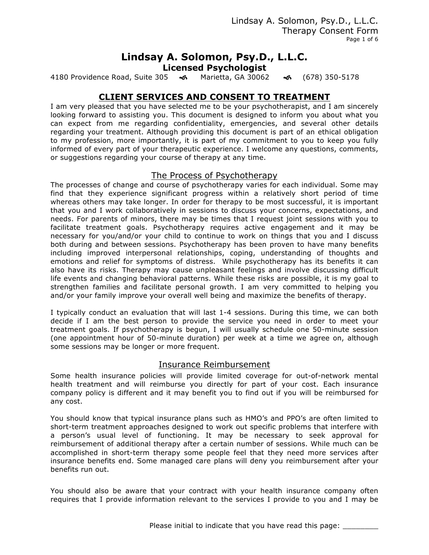Lindsay A. Solomon, Psy.D., L.L.C. Therapy Consent Form Page 1 of 6

# **Lindsay A. Solomon, Psy.D., L.L.C.**

**Licensed Psychologist**

4180 Providence Road, Suite 305 ! Marietta, GA 30062! (678) 350-5178

## **CLIENT SERVICES AND CONSENT TO TREATMENT**

I am very pleased that you have selected me to be your psychotherapist, and I am sincerely looking forward to assisting you. This document is designed to inform you about what you can expect from me regarding confidentiality, emergencies, and several other details regarding your treatment. Although providing this document is part of an ethical obligation to my profession, more importantly, it is part of my commitment to you to keep you fully informed of every part of your therapeutic experience. I welcome any questions, comments, or suggestions regarding your course of therapy at any time.

### The Process of Psychotherapy

The processes of change and course of psychotherapy varies for each individual. Some may find that they experience significant progress within a relatively short period of time whereas others may take longer. In order for therapy to be most successful, it is important that you and I work collaboratively in sessions to discuss your concerns, expectations, and needs. For parents of minors, there may be times that I request joint sessions with you to facilitate treatment goals. Psychotherapy requires active engagement and it may be necessary for you/and/or your child to continue to work on things that you and I discuss both during and between sessions. Psychotherapy has been proven to have many benefits including improved interpersonal relationships, coping, understanding of thoughts and emotions and relief for symptoms of distress. While psychotherapy has its benefits it can also have its risks. Therapy may cause unpleasant feelings and involve discussing difficult life events and changing behavioral patterns. While these risks are possible, it is my goal to strengthen families and facilitate personal growth. I am very committed to helping you and/or your family improve your overall well being and maximize the benefits of therapy.

I typically conduct an evaluation that will last 1-4 sessions. During this time, we can both decide if I am the best person to provide the service you need in order to meet your treatment goals. If psychotherapy is begun, I will usually schedule one 50-minute session (one appointment hour of 50-minute duration) per week at a time we agree on, although some sessions may be longer or more frequent.

### Insurance Reimbursement

Some health insurance policies will provide limited coverage for out-of-network mental health treatment and will reimburse you directly for part of your cost. Each insurance company policy is different and it may benefit you to find out if you will be reimbursed for any cost.

You should know that typical insurance plans such as HMO's and PPO's are often limited to short-term treatment approaches designed to work out specific problems that interfere with a person's usual level of functioning. It may be necessary to seek approval for reimbursement of additional therapy after a certain number of sessions. While much can be accomplished in short-term therapy some people feel that they need more services after insurance benefits end. Some managed care plans will deny you reimbursement after your benefits run out.

You should also be aware that your contract with your health insurance company often requires that I provide information relevant to the services I provide to you and I may be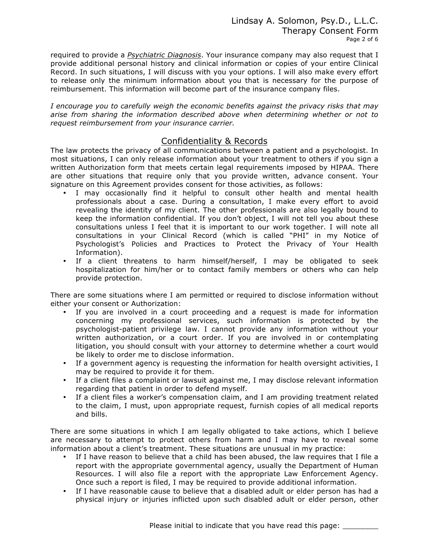required to provide a *Psychiatric Diagnosis*. Your insurance company may also request that I provide additional personal history and clinical information or copies of your entire Clinical Record. In such situations, I will discuss with you your options. I will also make every effort to release only the minimum information about you that is necessary for the purpose of reimbursement. This information will become part of the insurance company files.

*I encourage you to carefully weigh the economic benefits against the privacy risks that may arise from sharing the information described above when determining whether or not to request reimbursement from your insurance carrier.* 

## Confidentiality & Records

The law protects the privacy of all communications between a patient and a psychologist. In most situations, I can only release information about your treatment to others if you sign a written Authorization form that meets certain legal requirements imposed by HIPAA. There are other situations that require only that you provide written, advance consent. Your signature on this Agreement provides consent for those activities, as follows:

- I may occasionally find it helpful to consult other health and mental health professionals about a case. During a consultation, I make every effort to avoid revealing the identity of my client. The other professionals are also legally bound to keep the information confidential. If you don't object, I will not tell you about these consultations unless I feel that it is important to our work together. I will note all consultations in your Clinical Record (which is called "PHI" in my Notice of Psychologist's Policies and Practices to Protect the Privacy of Your Health Information).
- If a client threatens to harm himself/herself, I may be obligated to seek hospitalization for him/her or to contact family members or others who can help provide protection.

There are some situations where I am permitted or required to disclose information without either your consent or Authorization:

- If you are involved in a court proceeding and a request is made for information concerning my professional services, such information is protected by the psychologist-patient privilege law. I cannot provide any information without your written authorization, or a court order. If you are involved in or contemplating litigation, you should consult with your attorney to determine whether a court would be likely to order me to disclose information.
- If a government agency is requesting the information for health oversight activities, I may be required to provide it for them.
- If a client files a complaint or lawsuit against me, I may disclose relevant information regarding that patient in order to defend myself.
- If a client files a worker's compensation claim, and I am providing treatment related to the claim, I must, upon appropriate request, furnish copies of all medical reports and bills.

There are some situations in which I am legally obligated to take actions, which I believe are necessary to attempt to protect others from harm and I may have to reveal some information about a client's treatment. These situations are unusual in my practice:

- If I have reason to believe that a child has been abused, the law requires that I file a report with the appropriate governmental agency, usually the Department of Human Resources. I will also file a report with the appropriate Law Enforcement Agency. Once such a report is filed, I may be required to provide additional information.
- If I have reasonable cause to believe that a disabled adult or elder person has had a physical injury or injuries inflicted upon such disabled adult or elder person, other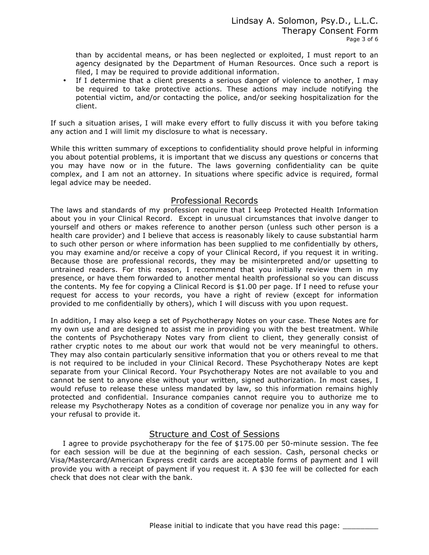than by accidental means, or has been neglected or exploited, I must report to an agency designated by the Department of Human Resources. Once such a report is filed, I may be required to provide additional information.

If I determine that a client presents a serious danger of violence to another, I may be required to take protective actions. These actions may include notifying the potential victim, and/or contacting the police, and/or seeking hospitalization for the client.

If such a situation arises, I will make every effort to fully discuss it with you before taking any action and I will limit my disclosure to what is necessary.

While this written summary of exceptions to confidentiality should prove helpful in informing you about potential problems, it is important that we discuss any questions or concerns that you may have now or in the future. The laws governing confidentiality can be quite complex, and I am not an attorney. In situations where specific advice is required, formal legal advice may be needed.

#### Professional Records

The laws and standards of my profession require that I keep Protected Health Information about you in your Clinical Record. Except in unusual circumstances that involve danger to yourself and others or makes reference to another person (unless such other person is a health care provider) and I believe that access is reasonably likely to cause substantial harm to such other person or where information has been supplied to me confidentially by others, you may examine and/or receive a copy of your Clinical Record, if you request it in writing. Because those are professional records, they may be misinterpreted and/or upsetting to untrained readers. For this reason, I recommend that you initially review them in my presence, or have them forwarded to another mental health professional so you can discuss the contents. My fee for copying a Clinical Record is \$1.00 per page. If I need to refuse your request for access to your records, you have a right of review (except for information provided to me confidentially by others), which I will discuss with you upon request.

In addition, I may also keep a set of Psychotherapy Notes on your case. These Notes are for my own use and are designed to assist me in providing you with the best treatment. While the contents of Psychotherapy Notes vary from client to client, they generally consist of rather cryptic notes to me about our work that would not be very meaningful to others. They may also contain particularly sensitive information that you or others reveal to me that is not required to be included in your Clinical Record. These Psychotherapy Notes are kept separate from your Clinical Record. Your Psychotherapy Notes are not available to you and cannot be sent to anyone else without your written, signed authorization. In most cases, I would refuse to release these unless mandated by law, so this information remains highly protected and confidential. Insurance companies cannot require you to authorize me to release my Psychotherapy Notes as a condition of coverage nor penalize you in any way for your refusal to provide it.

### Structure and Cost of Sessions

 I agree to provide psychotherapy for the fee of \$175.00 per 50-minute session. The fee for each session will be due at the beginning of each session. Cash, personal checks or Visa/Mastercard/American Express credit cards are acceptable forms of payment and I will provide you with a receipt of payment if you request it. A \$30 fee will be collected for each check that does not clear with the bank.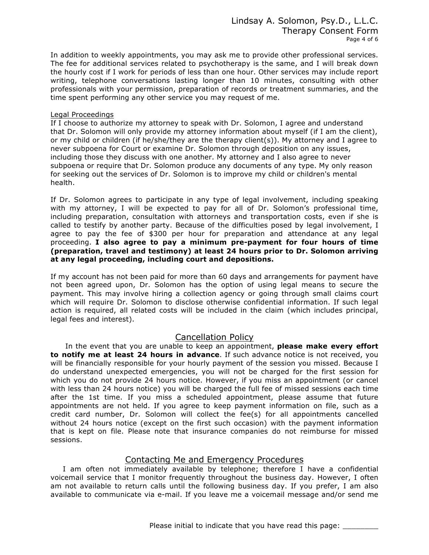In addition to weekly appointments, you may ask me to provide other professional services. The fee for additional services related to psychotherapy is the same, and I will break down the hourly cost if I work for periods of less than one hour. Other services may include report writing, telephone conversations lasting longer than 10 minutes, consulting with other professionals with your permission, preparation of records or treatment summaries, and the time spent performing any other service you may request of me.

#### Legal Proceedings

If I choose to authorize my attorney to speak with Dr. Solomon, I agree and understand that Dr. Solomon will only provide my attorney information about myself (if I am the client), or my child or children (if he/she/they are the therapy client(s)). My attorney and I agree to never subpoena for Court or examine Dr. Solomon through deposition on any issues, including those they discuss with one another. My attorney and I also agree to never subpoena or require that Dr. Solomon produce any documents of any type. My only reason for seeking out the services of Dr. Solomon is to improve my child or children's mental health.

If Dr. Solomon agrees to participate in any type of legal involvement, including speaking with my attorney, I will be expected to pay for all of Dr. Solomon's professional time, including preparation, consultation with attorneys and transportation costs, even if she is called to testify by another party. Because of the difficulties posed by legal involvement, I agree to pay the fee of \$300 per hour for preparation and attendance at any legal proceeding. **I also agree to pay a minimum pre-payment for four hours of time (preparation, travel and testimony) at least 24 hours prior to Dr. Solomon arriving at any legal proceeding, including court and depositions.**

If my account has not been paid for more than 60 days and arrangements for payment have not been agreed upon, Dr. Solomon has the option of using legal means to secure the payment. This may involve hiring a collection agency or going through small claims court which will require Dr. Solomon to disclose otherwise confidential information. If such legal action is required, all related costs will be included in the claim (which includes principal, legal fees and interest).

### Cancellation Policy

 In the event that you are unable to keep an appointment, **please make every effort to notify me at least 24 hours in advance**. If such advance notice is not received, you will be financially responsible for your hourly payment of the session you missed. Because I do understand unexpected emergencies, you will not be charged for the first session for which you do not provide 24 hours notice. However, if you miss an appointment (or cancel with less than 24 hours notice) you will be charged the full fee of missed sessions each time after the 1st time. If you miss a scheduled appointment, please assume that future appointments are not held. If you agree to keep payment information on file, such as a credit card number, Dr. Solomon will collect the fee(s) for all appointments cancelled without 24 hours notice (except on the first such occasion) with the payment information that is kept on file. Please note that insurance companies do not reimburse for missed sessions.

## Contacting Me and Emergency Procedures

 I am often not immediately available by telephone; therefore I have a confidential voicemail service that I monitor frequently throughout the business day. However, I often am not available to return calls until the following business day. If you prefer, I am also available to communicate via e-mail. If you leave me a voicemail message and/or send me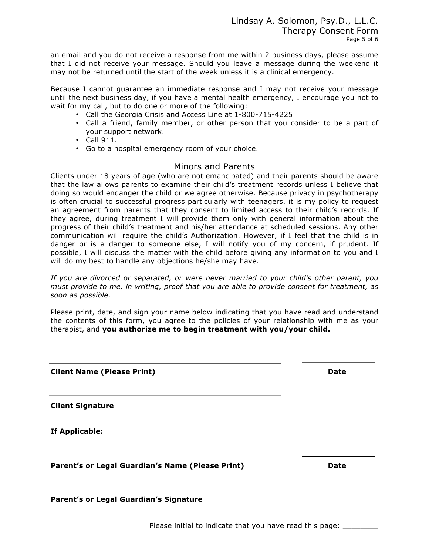an email and you do not receive a response from me within 2 business days, please assume that I did not receive your message. Should you leave a message during the weekend it may not be returned until the start of the week unless it is a clinical emergency.

Because I cannot guarantee an immediate response and I may not receive your message until the next business day, if you have a mental health emergency, I encourage you not to wait for my call, but to do one or more of the following:

- Call the Georgia Crisis and Access Line at 1-800-715-4225
- Call a friend, family member, or other person that you consider to be a part of your support network.
- Call 911.
- Go to a hospital emergency room of your choice.

### Minors and Parents

Clients under 18 years of age (who are not emancipated) and their parents should be aware that the law allows parents to examine their child's treatment records unless I believe that doing so would endanger the child or we agree otherwise. Because privacy in psychotherapy is often crucial to successful progress particularly with teenagers, it is my policy to request an agreement from parents that they consent to limited access to their child's records. If they agree, during treatment I will provide them only with general information about the progress of their child's treatment and his/her attendance at scheduled sessions. Any other communication will require the child's Authorization. However, if I feel that the child is in danger or is a danger to someone else, I will notify you of my concern, if prudent. If possible, I will discuss the matter with the child before giving any information to you and I will do my best to handle any objections he/she may have.

*If you are divorced or separated, or were never married to your child's other parent, you must provide to me, in writing, proof that you are able to provide consent for treatment, as soon as possible.* 

Please print, date, and sign your name below indicating that you have read and understand the contents of this form, you agree to the policies of your relationship with me as your therapist, and **you authorize me to begin treatment with you/your child.**

**Client Name (Please Print) Date 2018** 

**Client Signature** 

**If Applicable:** 

1

i,

1

Parent's or Legal Guardian's Name (Please Print) **Date Date** 

**Parent's or Legal Guardian's Signature**

Please initial to indicate that you have read this page: